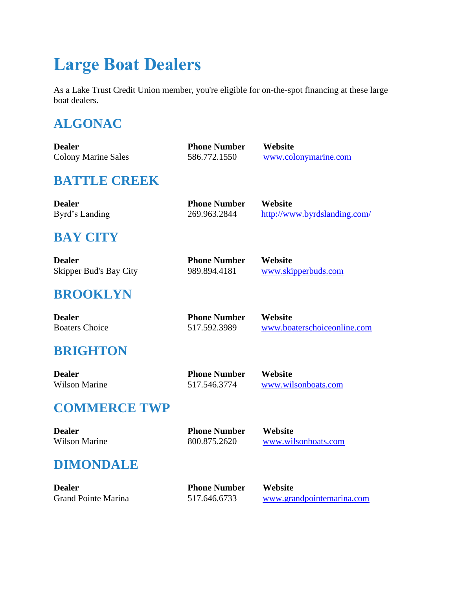# **Large Boat Dealers**

As a Lake Trust Credit Union member, you're eligible for on-the-spot financing at these large boat dealers.

# **ALGONAC**

| <b>Dealer</b>                 | <b>Phone Number</b> | Website                      |
|-------------------------------|---------------------|------------------------------|
| <b>Colony Marine Sales</b>    | 586.772.1550        | www.colonymarine.com         |
| <b>BATTLE CREEK</b>           |                     |                              |
| <b>Dealer</b>                 | <b>Phone Number</b> | Website                      |
| Byrd's Landing                | 269.963.2844        | http://www.byrdslanding.com/ |
| <b>BAY CITY</b>               |                     |                              |
| <b>Dealer</b>                 | <b>Phone Number</b> | Website                      |
| <b>Skipper Bud's Bay City</b> | 989.894.4181        | www.skipperbuds.com          |
| <b>BROOKLYN</b>               |                     |                              |
| <b>Dealer</b>                 | <b>Phone Number</b> | Website                      |
| <b>Boaters Choice</b>         | 517.592.3989        | www.boaterschoiceonline.com  |
| <b>BRIGHTON</b>               |                     |                              |
| <b>Dealer</b>                 | <b>Phone Number</b> | Website                      |
| <b>Wilson Marine</b>          | 517.546.3774        | www.wilsonboats.com          |
| <b>COMMERCE TWP</b>           |                     |                              |
| <b>Dealer</b>                 | <b>Phone Number</b> | Website                      |
| <b>Wilson Marine</b>          | 800.875.2620        | www.wilsonboats.com          |
| <b>DIMONDALE</b>              |                     |                              |
| <b>Dealer</b>                 | <b>Phone Number</b> | Website                      |
| <b>Grand Pointe Marina</b>    | 517.646.6733        | www.grandpointemarina.com    |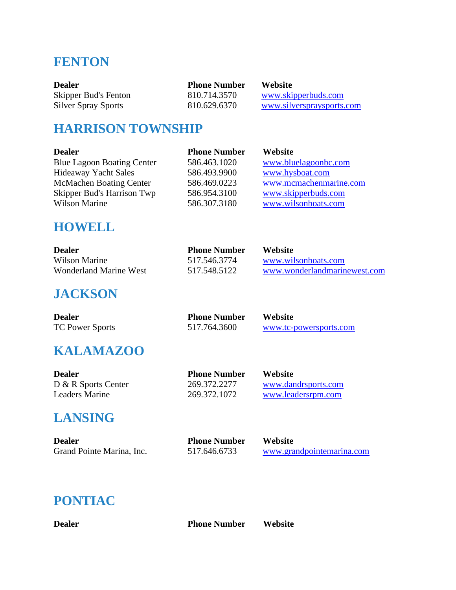## **FENTON**

| Dealer               | <b>Phone Number</b> | <b>Website</b>            |
|----------------------|---------------------|---------------------------|
| Skipper Bud's Fenton | 810.714.3570        | www.skipperbuds.com       |
| Silver Spray Sports  | 810.629.6370        | www.silverspraysports.com |

#### **HARRISON TOWNSHIP**

| <b>Dealer</b>                     | <b>Phone Number</b> | Website                |
|-----------------------------------|---------------------|------------------------|
| <b>Blue Lagoon Boating Center</b> | 586.463.1020        | www.bluelagoonbc.com   |
| <b>Hideaway Yacht Sales</b>       | 586.493.9900        | www.hysboat.com        |
| <b>McMachen Boating Center</b>    | 586.469.0223        | www.mcmachenmarine.com |
| Skipper Bud's Harrison Twp        | 586.954.3100        | www.skipperbuds.com    |
| <b>Wilson Marine</b>              | 586.307.3180        | www.wilsonboats.com    |

#### **HOWELL**

| <b>Dealer</b>          | <b>Phone Number</b> | <b>Website</b>               |
|------------------------|---------------------|------------------------------|
| Wilson Marine          | 517.546.3774        | www.wilsonboats.com          |
| Wonderland Marine West | 517.548.5122        | www.wonderlandmarinewest.com |

**Phone Number Website** 

517.764.3600 [www.tc-powersports.com](http://www.tc-powersports.com/)

#### **JACKSON**

| <b>Dealer</b>          |  |
|------------------------|--|
| <b>TC Power Sports</b> |  |

### **KALAMAZOO**

| Dealer              | <b>Phone Number</b> | <b>Website</b>      |
|---------------------|---------------------|---------------------|
| D & R Sports Center | 269.372.2277        | www.dandrsports.com |
| Leaders Marine      | 269.372.1072        | www.leadersrpm.com  |

### **LANSING**

| <b>Dealer</b>             | <b>Phone Number</b> | <b>Website</b>            |
|---------------------------|---------------------|---------------------------|
| Grand Pointe Marina, Inc. | 517.646.6733        | www.grandpointemarina.com |

# **PONTIAC**

**Dealer Phone Number Website**